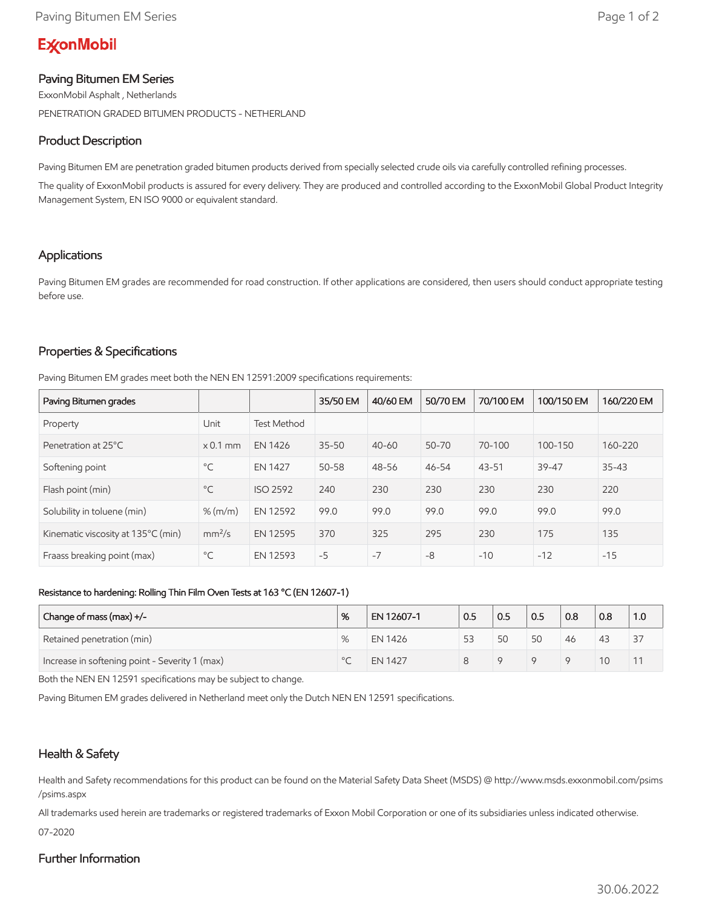# **ExconMobil**

# Paving Bitumen EM Series

ExxonMobil Asphalt , Netherlands PENETRATION GRADED BITUMEN PRODUCTS - NETHERLAND

## Product Description

Paving Bitumen EM are penetration graded bitumen products derived from specially selected crude oils via carefully controlled refining processes.

The quality of ExxonMobil products is assured for every delivery. They are produced and controlled according to the ExxonMobil Global Product Integrity Management System, EN ISO 9000 or equivalent standard.

## Applications

Paving Bitumen EM grades are recommended for road construction. If other applications are considered, then users should conduct appropriate testing before use.

## Properties & Specifications

Paving Bitumen EM grades meet both the NEN EN 12591:2009 specifications requirements:

| Paving Bitumen grades              |                    |                    | 35/50 EM  | 40/60 EM  | 50/70 EM | 70/100 EM | 100/150 EM | 160/220 EM |
|------------------------------------|--------------------|--------------------|-----------|-----------|----------|-----------|------------|------------|
| Property                           | Unit               | <b>Test Method</b> |           |           |          |           |            |            |
| Penetration at 25°C                | $\times$ 0.1 mm    | <b>EN 1426</b>     | $35 - 50$ | $40 - 60$ | 50-70    | 70-100    | 100-150    | 160-220    |
| Softening point                    | $^{\circ}$ C       | <b>EN 1427</b>     | 50-58     | 48-56     | 46-54    | $43 - 51$ | 39-47      | $35 - 43$  |
| Flash point (min)                  | $^{\circ}$ C       | <b>ISO 2592</b>    | 240       | 230       | 230      | 230       | 230        | 220        |
| Solubility in toluene (min)        | % (m/m)            | EN 12592           | 99.0      | 99.0      | 99.0     | 99.0      | 99.0       | 99.0       |
| Kinematic viscosity at 135°C (min) | mm <sup>2</sup> /s | EN 12595           | 370       | 325       | 295      | 230       | 175        | 135        |
| Fraass breaking point (max)        | $^{\circ}$ C       | EN 12593           | $-5$      | $-7$      | $-8$     | $-10$     | $-12$      | $-15$      |

#### Resistance to hardening: Rolling Thin Film Oven Tests at 163 °C (EN 12607-1)

| Change of mass (max) +/-                       |   | EN 12607-1     | 0.5 | 0.5 | 0.5 | 0.8 | 0.8 | 1.0 |
|------------------------------------------------|---|----------------|-----|-----|-----|-----|-----|-----|
| Retained penetration (min)                     | % | EN 1426        | 53  | 50  | 50  | 46  | 43  | 37  |
| Increase in softening point - Severity 1 (max) |   | <b>EN 1427</b> |     |     |     |     | 10  | 11  |

Both the NEN EN 12591 specifications may be subject to change.

Paving Bitumen EM grades delivered in Netherland meet only the Dutch NEN EN 12591 specifications.

## Health & Safety

Health and Safety recommendations for this product can be found on the Material Safety Data Sheet (MSDS) @ http://www.msds.exxonmobil.com/psims /psims.aspx

All trademarks used herein are trademarks or registered trademarks of Exxon Mobil Corporation or one of its subsidiaries unless indicated otherwise.

07-2020

#### Further Information